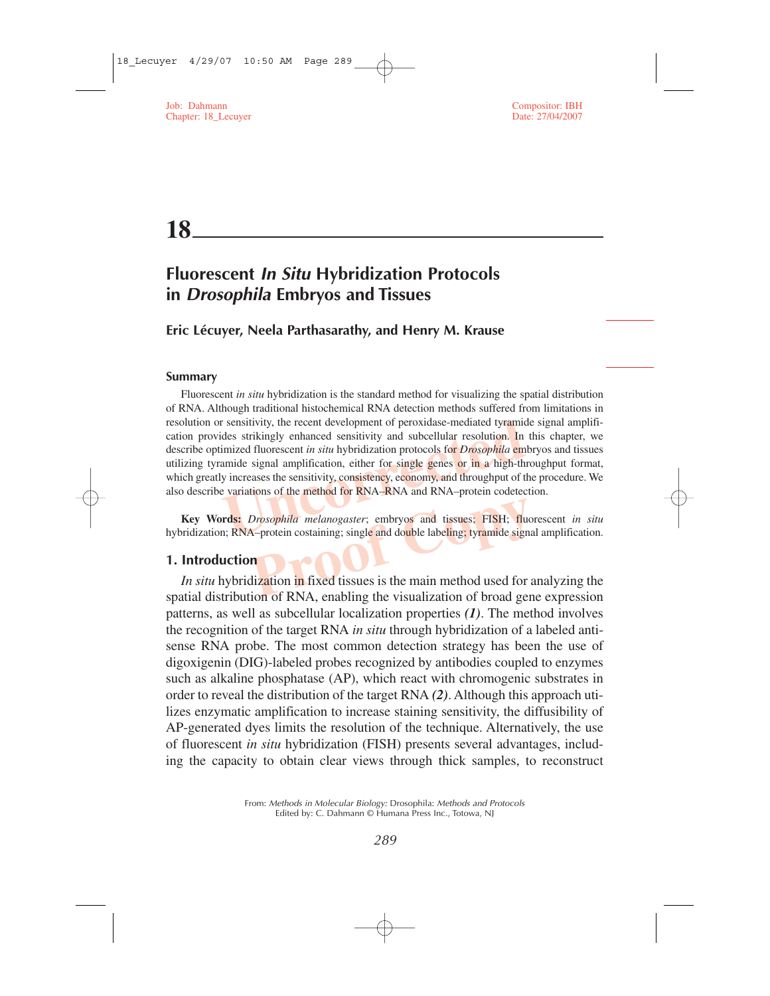## **18**

## **Fluorescent** *In Situ* **Hybridization Protocols in** *Drosophila* **Embryos and Tissues**

**Eric Lécuyer, Neela Parthasarathy, and Henry M. Krause**

#### **Summary**

sensitivity, the recent development of peroxidase-mediated tyramic<br>des strikingly enhanced sensitivity and subcellular resolution. In<br>imized fluorescent *in situ* hybridization protocols for *Drosophila* em<br>amide signal am Fluorescent *in situ* hybridization is the standard method for visualizing the spatial distribution of RNA. Although traditional histochemical RNA detection methods suffered from limitations in resolution or sensitivity, the recent development of peroxidase-mediated tyramide signal amplification provides strikingly enhanced sensitivity and subcellular resolution. In this chapter, we describe optimized fluorescent *in situ* hybridization protocols for *Drosophila* embryos and tissues utilizing tyramide signal amplification, either for single genes or in a high-throughput format, which greatly increases the sensitivity, consistency, economy, and throughput of the procedure. We also describe variations of the method for RNA–RNA and RNA–protein codetection.

**Prosophila melanogaster**; embryos and tissues; FISH; fluor<br>A-protein costaining; single and double labeling; tyramide signa<br>**n**<br>dization in fixed tissues is the main method used for a<br>ion of BNA enabling the visualization **Key Words:** *Drosophila melanogaster*; embryos and tissues; FISH; fluorescent *in situ* hybridization; RNA–protein costaining; single and double labeling; tyramide signal amplification.

#### **1. Introduction**

*In situ* hybridization in fixed tissues is the main method used for analyzing the spatial distribution of RNA, enabling the visualization of broad gene expression patterns, as well as subcellular localization properties *(1)*. The method involves the recognition of the target RNA *in situ* through hybridization of a labeled antisense RNA probe. The most common detection strategy has been the use of digoxigenin (DIG)-labeled probes recognized by antibodies coupled to enzymes such as alkaline phosphatase (AP), which react with chromogenic substrates in order to reveal the distribution of the target RNA *(2)*. Although this approach utilizes enzymatic amplification to increase staining sensitivity, the diffusibility of AP-generated dyes limits the resolution of the technique. Alternatively, the use of fluorescent *in situ* hybridization (FISH) presents several advantages, including the capacity to obtain clear views through thick samples, to reconstruct

> From: *Methods in Molecular Biology:* Drosophila: *Methods and Protocols* Edited by: C. Dahmann © Humana Press Inc., Totowa, NJ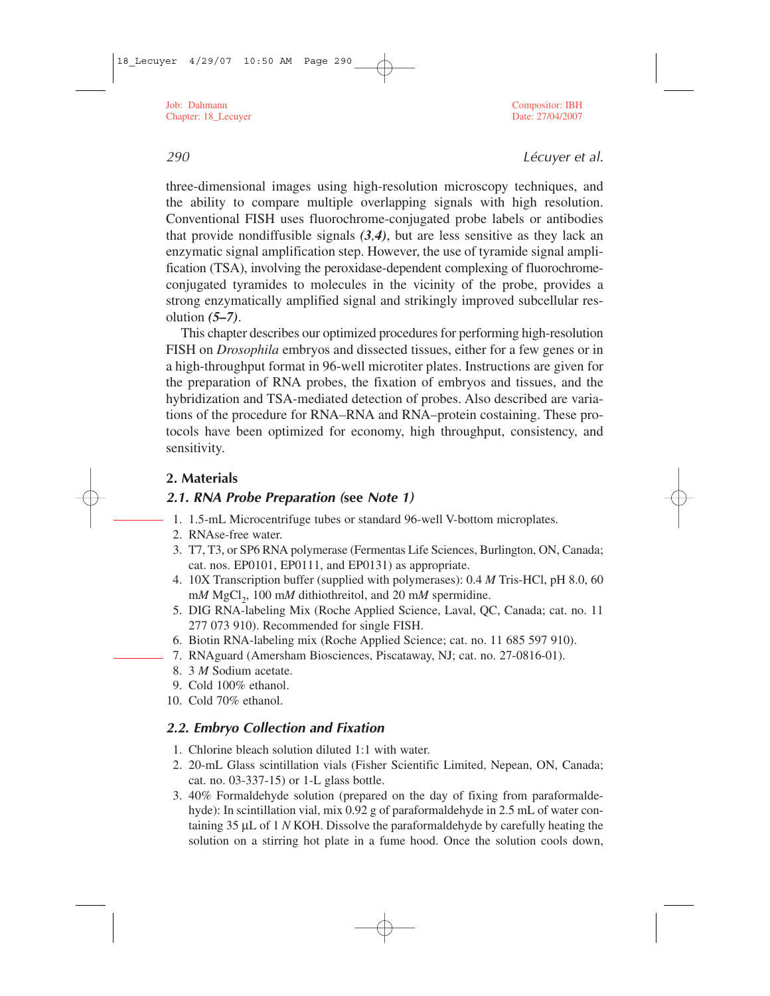*290 Lécuyer et al.*

three-dimensional images using high-resolution microscopy techniques, and the ability to compare multiple overlapping signals with high resolution. Conventional FISH uses fluorochrome-conjugated probe labels or antibodies that provide nondiffusible signals *(3,4)*, but are less sensitive as they lack an enzymatic signal amplification step. However, the use of tyramide signal amplification (TSA), involving the peroxidase-dependent complexing of fluorochromeconjugated tyramides to molecules in the vicinity of the probe, provides a strong enzymatically amplified signal and strikingly improved subcellular resolution *(5–7)*.

This chapter describes our optimized procedures for performing high-resolution FISH on *Drosophila* embryos and dissected tissues, either for a few genes or in a high-throughput format in 96-well microtiter plates. Instructions are given for the preparation of RNA probes, the fixation of embryos and tissues, and the hybridization and TSA-mediated detection of probes. Also described are variations of the procedure for RNA–RNA and RNA–protein costaining. These protocols have been optimized for economy, high throughput, consistency, and sensitivity.

### **2. Materials**

#### *2.1. RNA Probe Preparation (***see** *Note 1)*

- 1. 1.5-mL Microcentrifuge tubes or standard 96-well V-bottom microplates.
- 2. RNAse-free water.
- 3. T7, T3, or SP6 RNA polymerase (Fermentas Life Sciences, Burlington, ON, Canada; cat. nos. EP0101, EP0111, and EP0131) as appropriate.
- 4. 10X Transcription buffer (supplied with polymerases): 0.4 *M* Tris-HCl, pH 8.0, 60 m*M* MgCl<sub>2</sub>, 100 m*M* dithiothreitol, and 20 m*M* spermidine.
- 5. DIG RNA-labeling Mix (Roche Applied Science, Laval, QC, Canada; cat. no. 11 277 073 910). Recommended for single FISH.
- 6. Biotin RNA-labeling mix (Roche Applied Science; cat. no. 11 685 597 910).
- 7. RNAguard (Amersham Biosciences, Piscataway, NJ; cat. no. 27-0816-01).
- 8. 3 *M* Sodium acetate.
- 9. Cold 100% ethanol.
- 10. Cold 70% ethanol.

#### *2.2. Embryo Collection and Fixation*

- 1. Chlorine bleach solution diluted 1:1 with water.
- 2. 20-mL Glass scintillation vials (Fisher Scientific Limited, Nepean, ON, Canada; cat. no. 03-337-15) or 1-L glass bottle.
- 3. 40% Formaldehyde solution (prepared on the day of fixing from paraformaldehyde): In scintillation vial, mix 0.92 g of paraformaldehyde in 2.5 mL of water containing 35 µL of 1 *N* KOH. Dissolve the paraformaldehyde by carefully heating the solution on a stirring hot plate in a fume hood. Once the solution cools down,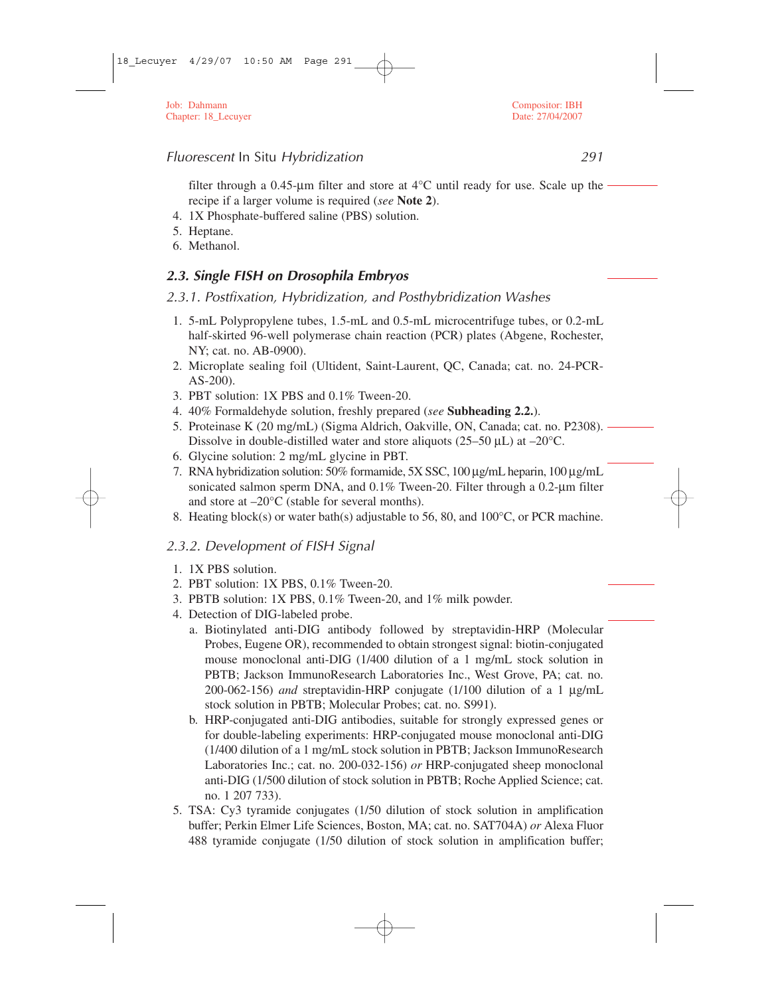#### *Fluorescent* In Situ *Hybridization 291*

filter through a 0.45-µm filter and store at  $4^{\circ}$ C until ready for use. Scale up the recipe if a larger volume is required (*see* **Note 2**).

- 4. 1X Phosphate-buffered saline (PBS) solution.
- 5. Heptane.
- 6. Methanol.

### *2.3. Single FISH on Drosophila Embryos*

*2.3.1. Postfixation, Hybridization, and Posthybridization Washes*

- 1. 5-mL Polypropylene tubes, 1.5-mL and 0.5-mL microcentrifuge tubes, or 0.2-mL half-skirted 96-well polymerase chain reaction (PCR) plates (Abgene, Rochester, NY; cat. no. AB-0900).
- 2. Microplate sealing foil (Ultident, Saint-Laurent, QC, Canada; cat. no. 24-PCR-AS-200).
- 3. PBT solution: 1X PBS and 0.1% Tween-20.
- 4. 40% Formaldehyde solution, freshly prepared (*see* **Subheading 2.2.**).
- 5. Proteinase K (20 mg/mL) (Sigma Aldrich, Oakville, ON, Canada; cat. no. P2308). Dissolve in double-distilled water and store aliquots (25–50  $\mu$ L) at –20 $\degree$ C.
- 6. Glycine solution: 2 mg/mL glycine in PBT.
- 7. RNA hybridization solution: 50% formamide, 5X SSC, 100 µg/mL heparin, 100 µg/mL sonicated salmon sperm DNA, and  $0.1\%$  Tween-20. Filter through a 0.2-um filter and store at –20°C (stable for several months).
- 8. Heating block(s) or water bath(s) adjustable to 56, 80, and 100°C, or PCR machine.

#### *2.3.2. Development of FISH Signal*

- 1. 1X PBS solution.
- 2. PBT solution: 1X PBS, 0.1% Tween-20.
- 3. PBTB solution: 1X PBS, 0.1% Tween-20, and 1% milk powder.
- 4. Detection of DIG-labeled probe.
	- a. Biotinylated anti-DIG antibody followed by streptavidin-HRP (Molecular Probes, Eugene OR), recommended to obtain strongest signal: biotin-conjugated mouse monoclonal anti-DIG (1/400 dilution of a 1 mg/mL stock solution in PBTB; Jackson ImmunoResearch Laboratories Inc., West Grove, PA; cat. no. 200-062-156) *and* streptavidin-HRP conjugate (1/100 dilution of a 1 µg/mL stock solution in PBTB; Molecular Probes; cat. no. S991).
	- b. HRP-conjugated anti-DIG antibodies, suitable for strongly expressed genes or for double-labeling experiments: HRP-conjugated mouse monoclonal anti-DIG (1/400 dilution of a 1 mg/mL stock solution in PBTB; Jackson ImmunoResearch Laboratories Inc.; cat. no. 200-032-156) *or* HRP-conjugated sheep monoclonal anti-DIG (1/500 dilution of stock solution in PBTB; Roche Applied Science; cat. no. 1 207 733).
- 5. TSA: Cy3 tyramide conjugates (1/50 dilution of stock solution in amplification buffer; Perkin Elmer Life Sciences, Boston, MA; cat. no. SAT704A) *or* Alexa Fluor 488 tyramide conjugate (1/50 dilution of stock solution in amplification buffer;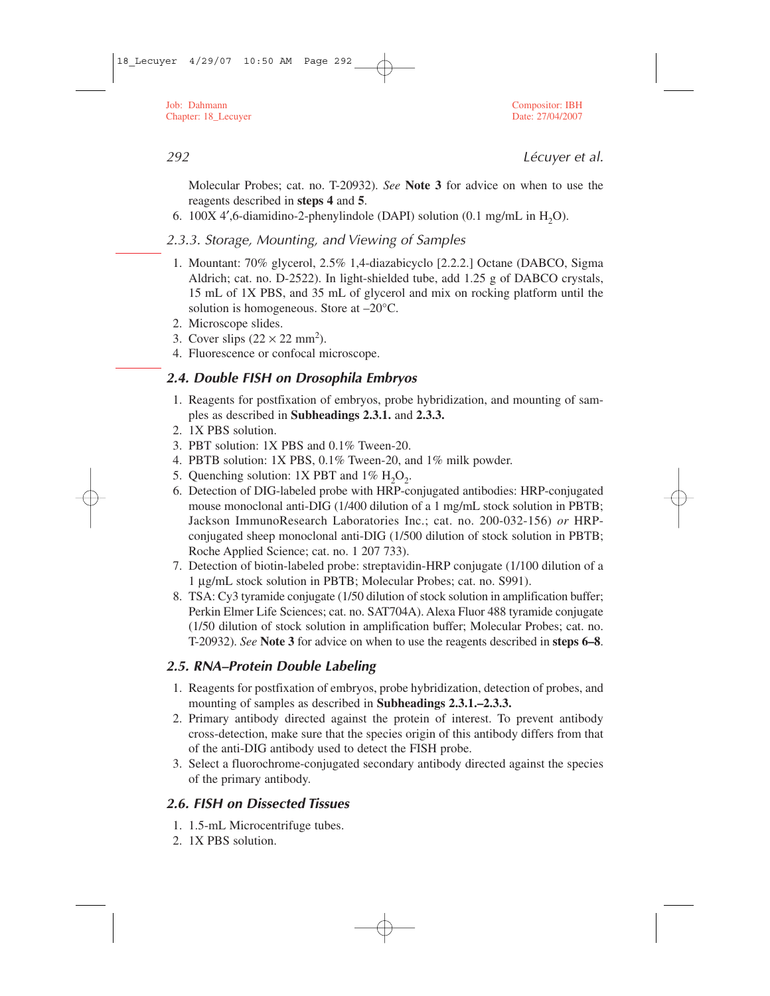*292 Lécuyer et al.*

Molecular Probes; cat. no. T-20932). *See* **Note 3** for advice on when to use the reagents described in **steps 4** and **5**.

6. 100X 4',6-diamidino-2-phenylindole (DAPI) solution (0.1 mg/mL in  $H_2O$ ).

#### *2.3.3. Storage, Mounting, and Viewing of Samples*

- 1. Mountant: 70% glycerol, 2.5% 1,4-diazabicyclo [2.2.2.] Octane (DABCO, Sigma Aldrich; cat. no. D-2522). In light-shielded tube, add 1.25 g of DABCO crystals, 15 mL of 1X PBS, and 35 mL of glycerol and mix on rocking platform until the solution is homogeneous. Store at –20°C.
- 2. Microscope slides.
- 3. Cover slips  $(22 \times 22 \text{ mm}^2)$ .
- 4. Fluorescence or confocal microscope.

#### *2.4. Double FISH on Drosophila Embryos*

- 1. Reagents for postfixation of embryos, probe hybridization, and mounting of samples as described in **Subheadings 2.3.1.** and **2.3.3.**
- 2. 1X PBS solution.
- 3. PBT solution: 1X PBS and 0.1% Tween-20.
- 4. PBTB solution: 1X PBS, 0.1% Tween-20, and 1% milk powder.
- 5. Quenching solution: 1X PBT and  $1\%$  H<sub>2</sub>O<sub>2</sub>.
- 6. Detection of DIG-labeled probe with HRP-conjugated antibodies: HRP-conjugated mouse monoclonal anti-DIG (1/400 dilution of a 1 mg/mL stock solution in PBTB; Jackson ImmunoResearch Laboratories Inc.; cat. no. 200-032-156) *or* HRPconjugated sheep monoclonal anti-DIG (1/500 dilution of stock solution in PBTB; Roche Applied Science; cat. no. 1 207 733).
- 7. Detection of biotin-labeled probe: streptavidin-HRP conjugate (1/100 dilution of a 1 µg/mL stock solution in PBTB; Molecular Probes; cat. no. S991).
- 8. TSA: Cy3 tyramide conjugate (1/50 dilution of stock solution in amplification buffer; Perkin Elmer Life Sciences; cat. no. SAT704A). Alexa Fluor 488 tyramide conjugate (1/50 dilution of stock solution in amplification buffer; Molecular Probes; cat. no. T-20932). *See* **Note 3** for advice on when to use the reagents described in **steps 6–8**.

#### *2.5. RNA–Protein Double Labeling*

- 1. Reagents for postfixation of embryos, probe hybridization, detection of probes, and mounting of samples as described in **Subheadings 2.3.1.–2.3.3.**
- 2. Primary antibody directed against the protein of interest. To prevent antibody cross-detection, make sure that the species origin of this antibody differs from that of the anti-DIG antibody used to detect the FISH probe.
- 3. Select a fluorochrome-conjugated secondary antibody directed against the species of the primary antibody.

#### *2.6. FISH on Dissected Tissues*

- 1. 1.5-mL Microcentrifuge tubes.
- 2. 1X PBS solution.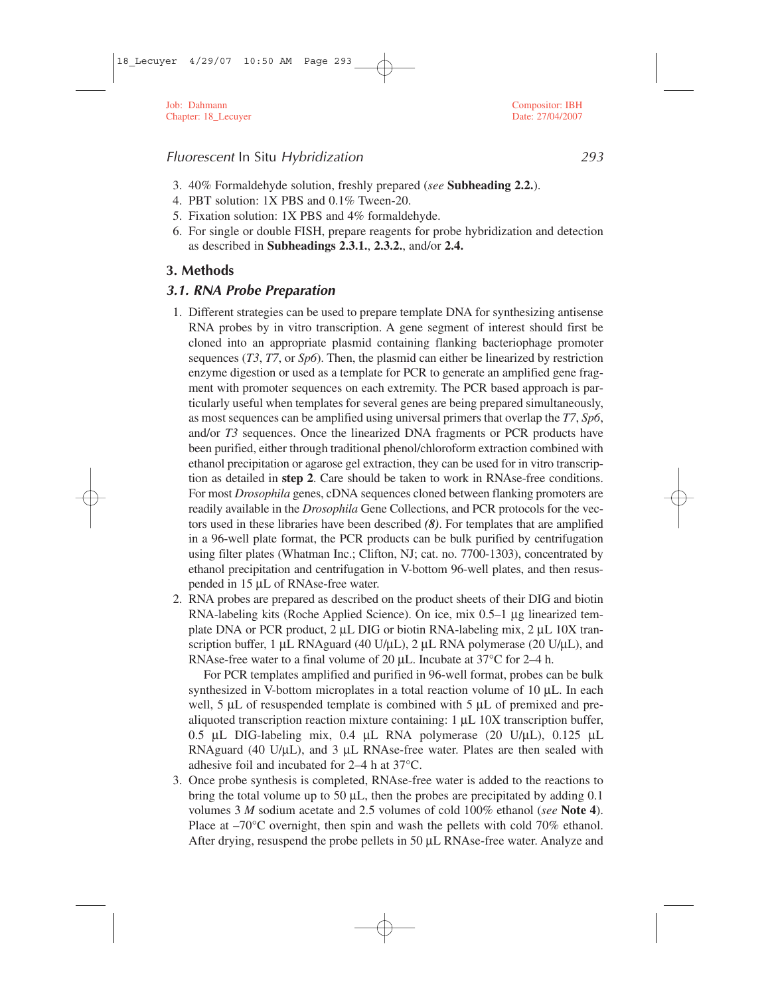#### *Fluorescent* In Situ *Hybridization 293*

- 3. 40% Formaldehyde solution, freshly prepared (*see* **Subheading 2.2.**).
- 4. PBT solution: 1X PBS and 0.1% Tween-20.
- 5. Fixation solution: 1X PBS and 4% formaldehyde.
- 6. For single or double FISH, prepare reagents for probe hybridization and detection as described in **Subheadings 2.3.1.**, **2.3.2.**, and/or **2.4.**

#### **3. Methods**

#### *3.1. RNA Probe Preparation*

- 1. Different strategies can be used to prepare template DNA for synthesizing antisense RNA probes by in vitro transcription. A gene segment of interest should first be cloned into an appropriate plasmid containing flanking bacteriophage promoter sequences (*T3*, *T7*, or *Sp6*). Then, the plasmid can either be linearized by restriction enzyme digestion or used as a template for PCR to generate an amplified gene fragment with promoter sequences on each extremity. The PCR based approach is particularly useful when templates for several genes are being prepared simultaneously, as most sequences can be amplified using universal primers that overlap the *T7*, *Sp6*, and/or *T3* sequences. Once the linearized DNA fragments or PCR products have been purified, either through traditional phenol/chloroform extraction combined with ethanol precipitation or agarose gel extraction, they can be used for in vitro transcription as detailed in **step 2**. Care should be taken to work in RNAse-free conditions. For most *Drosophila* genes, cDNA sequences cloned between flanking promoters are readily available in the *Drosophila* Gene Collections, and PCR protocols for the vectors used in these libraries have been described *(8)*. For templates that are amplified in a 96-well plate format, the PCR products can be bulk purified by centrifugation using filter plates (Whatman Inc.; Clifton, NJ; cat. no. 7700-1303), concentrated by ethanol precipitation and centrifugation in V-bottom 96-well plates, and then resuspended in 15 µL of RNAse-free water.
- 2. RNA probes are prepared as described on the product sheets of their DIG and biotin RNA-labeling kits (Roche Applied Science). On ice, mix 0.5–1 µg linearized template DNA or PCR product,  $2 \mu L$  DIG or biotin RNA-labeling mix,  $2 \mu L$  10X transcription buffer, 1  $\mu$ L RNAguard (40 U/ $\mu$ L), 2  $\mu$ L RNA polymerase (20 U/ $\mu$ L), and RNAse-free water to a final volume of 20  $\mu$ L. Incubate at 37<sup>o</sup>C for 2–4 h.

For PCR templates amplified and purified in 96-well format, probes can be bulk synthesized in V-bottom microplates in a total reaction volume of 10 µL. In each well, 5 µL of resuspended template is combined with 5 µL of premixed and prealiquoted transcription reaction mixture containing:  $1 \mu L$  10X transcription buffer, 0.5 µL DIG-labeling mix, 0.4 µL RNA polymerase (20 U/µL), 0.125 µL RNAguard (40 U/ $\mu$ L), and 3  $\mu$ L RNAse-free water. Plates are then sealed with adhesive foil and incubated for 2–4 h at 37°C.

3. Once probe synthesis is completed, RNAse-free water is added to the reactions to bring the total volume up to 50  $\mu$ L, then the probes are precipitated by adding 0.1 volumes 3 *M* sodium acetate and 2.5 volumes of cold 100% ethanol (*see* **Note 4**). Place at  $-70^{\circ}$ C overnight, then spin and wash the pellets with cold 70% ethanol. After drying, resuspend the probe pellets in 50 µL RNAse-free water. Analyze and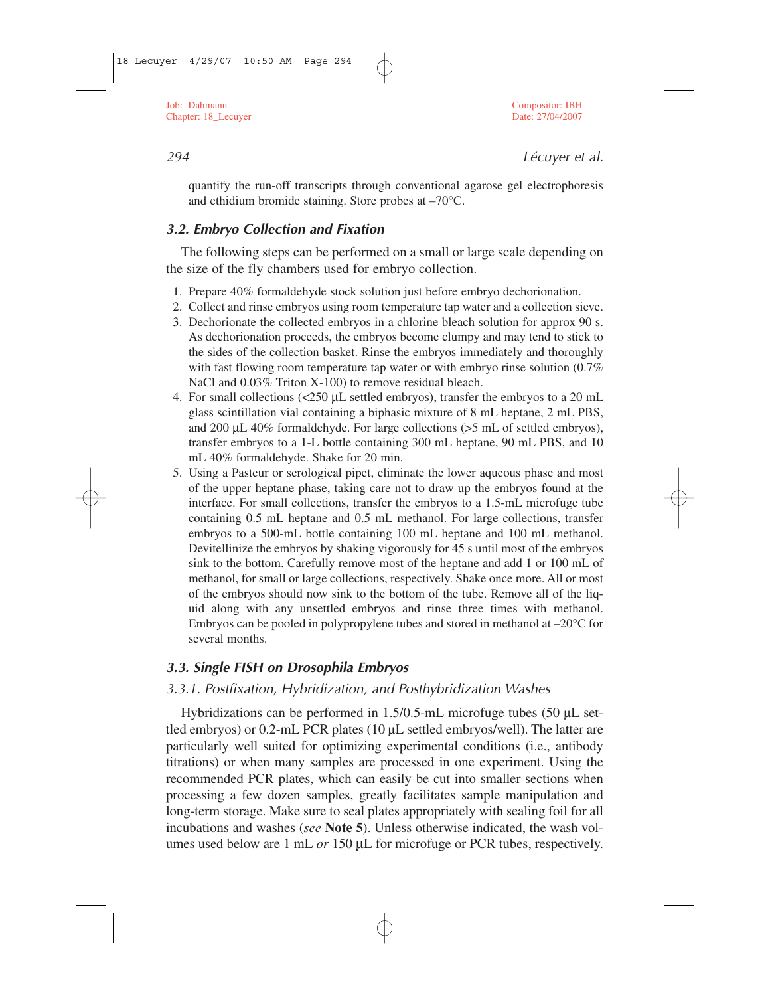*294 Lécuyer et al.*

quantify the run-off transcripts through conventional agarose gel electrophoresis and ethidium bromide staining. Store probes at –70°C.

### *3.2. Embryo Collection and Fixation*

The following steps can be performed on a small or large scale depending on the size of the fly chambers used for embryo collection.

- 1. Prepare 40% formaldehyde stock solution just before embryo dechorionation.
- 2. Collect and rinse embryos using room temperature tap water and a collection sieve.
- 3. Dechorionate the collected embryos in a chlorine bleach solution for approx 90 s. As dechorionation proceeds, the embryos become clumpy and may tend to stick to the sides of the collection basket. Rinse the embryos immediately and thoroughly with fast flowing room temperature tap water or with embryo rinse solution  $(0.7\%)$ NaCl and 0.03% Triton X-100) to remove residual bleach.
- 4. For small collections (<250 µL settled embryos), transfer the embryos to a 20 mL glass scintillation vial containing a biphasic mixture of 8 mL heptane, 2 mL PBS, and 200 µL 40% formaldehyde. For large collections (>5 mL of settled embryos), transfer embryos to a 1-L bottle containing 300 mL heptane, 90 mL PBS, and 10 mL 40% formaldehyde. Shake for 20 min.
- 5. Using a Pasteur or serological pipet, eliminate the lower aqueous phase and most of the upper heptane phase, taking care not to draw up the embryos found at the interface. For small collections, transfer the embryos to a 1.5-mL microfuge tube containing 0.5 mL heptane and 0.5 mL methanol. For large collections, transfer embryos to a 500-mL bottle containing 100 mL heptane and 100 mL methanol. Devitellinize the embryos by shaking vigorously for 45 s until most of the embryos sink to the bottom. Carefully remove most of the heptane and add 1 or 100 mL of methanol, for small or large collections, respectively. Shake once more. All or most of the embryos should now sink to the bottom of the tube. Remove all of the liquid along with any unsettled embryos and rinse three times with methanol. Embryos can be pooled in polypropylene tubes and stored in methanol at –20°C for several months.

#### *3.3. Single FISH on Drosophila Embryos*

#### *3.3.1. Postfixation, Hybridization, and Posthybridization Washes*

Hybridizations can be performed in 1.5/0.5-mL microfuge tubes (50 µL settled embryos) or 0.2-mL PCR plates (10 µL settled embryos/well). The latter are particularly well suited for optimizing experimental conditions (i.e., antibody titrations) or when many samples are processed in one experiment. Using the recommended PCR plates, which can easily be cut into smaller sections when processing a few dozen samples, greatly facilitates sample manipulation and long-term storage. Make sure to seal plates appropriately with sealing foil for all incubations and washes (*see* **Note 5**). Unless otherwise indicated, the wash volumes used below are 1 mL *or* 150 µL for microfuge or PCR tubes, respectively.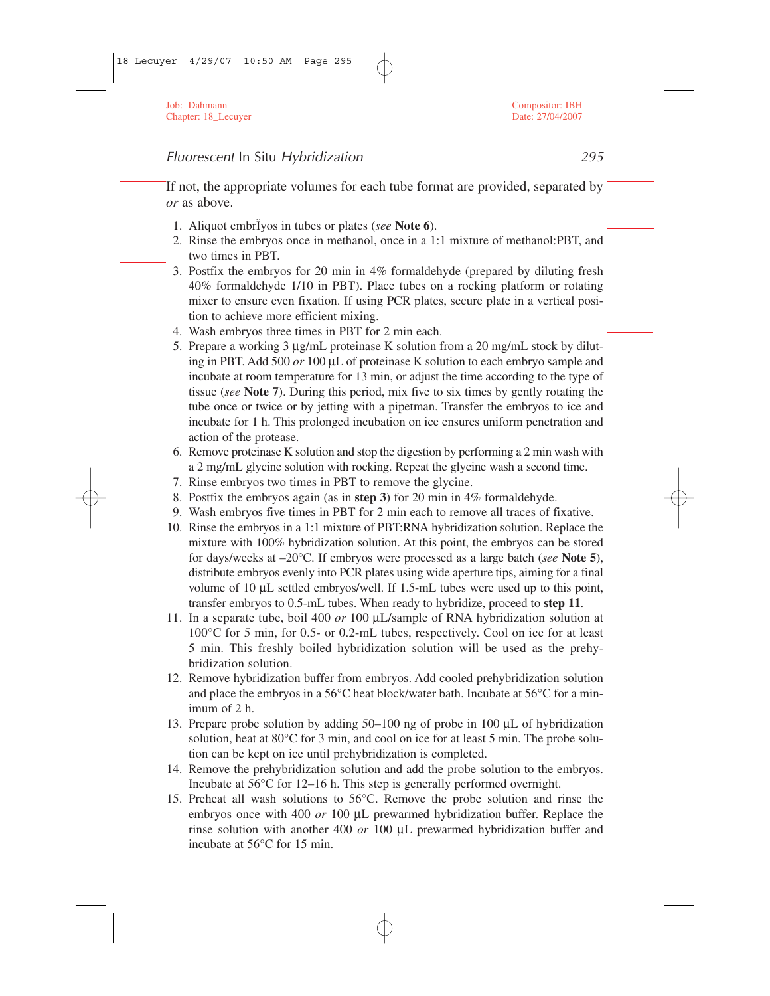#### *Fluorescent* In Situ *Hybridization 295*

If not, the appropriate volumes for each tube format are provided, separated by *or* as above.

- 1. Aliquot embrÏyos in tubes or plates (*see* **Note 6**).
- 2. Rinse the embryos once in methanol, once in a 1:1 mixture of methanol:PBT, and two times in PBT.
- 3. Postfix the embryos for 20 min in 4% formaldehyde (prepared by diluting fresh 40% formaldehyde 1/10 in PBT). Place tubes on a rocking platform or rotating mixer to ensure even fixation. If using PCR plates, secure plate in a vertical position to achieve more efficient mixing.
- 4. Wash embryos three times in PBT for 2 min each.
- 5. Prepare a working 3 µg/mL proteinase K solution from a 20 mg/mL stock by diluting in PBT. Add 500 *or* 100 µL of proteinase K solution to each embryo sample and incubate at room temperature for 13 min, or adjust the time according to the type of tissue (*see* **Note 7**). During this period, mix five to six times by gently rotating the tube once or twice or by jetting with a pipetman. Transfer the embryos to ice and incubate for 1 h. This prolonged incubation on ice ensures uniform penetration and action of the protease.
- 6. Remove proteinase K solution and stop the digestion by performing a 2 min wash with a 2 mg/mL glycine solution with rocking. Repeat the glycine wash a second time.
- 7. Rinse embryos two times in PBT to remove the glycine.
- 8. Postfix the embryos again (as in **step 3**) for 20 min in 4% formaldehyde.
- 9. Wash embryos five times in PBT for 2 min each to remove all traces of fixative.
- 10. Rinse the embryos in a 1:1 mixture of PBT:RNA hybridization solution. Replace the mixture with 100% hybridization solution. At this point, the embryos can be stored for days/weeks at –20°C. If embryos were processed as a large batch (*see* **Note 5**), distribute embryos evenly into PCR plates using wide aperture tips, aiming for a final volume of 10 µL settled embryos/well. If 1.5-mL tubes were used up to this point, transfer embryos to 0.5-mL tubes. When ready to hybridize, proceed to **step 11**.
- 11. In a separate tube, boil 400 *or* 100 µL/sample of RNA hybridization solution at 100°C for 5 min, for 0.5- or 0.2-mL tubes, respectively. Cool on ice for at least 5 min. This freshly boiled hybridization solution will be used as the prehybridization solution.
- 12. Remove hybridization buffer from embryos. Add cooled prehybridization solution and place the embryos in a 56°C heat block/water bath. Incubate at 56°C for a minimum of 2 h.
- 13. Prepare probe solution by adding 50–100 ng of probe in 100 µL of hybridization solution, heat at 80°C for 3 min, and cool on ice for at least 5 min. The probe solution can be kept on ice until prehybridization is completed.
- 14. Remove the prehybridization solution and add the probe solution to the embryos. Incubate at 56°C for 12–16 h. This step is generally performed overnight.
- 15. Preheat all wash solutions to 56°C. Remove the probe solution and rinse the embryos once with 400 *or* 100 µL prewarmed hybridization buffer. Replace the rinse solution with another 400 *or* 100 µL prewarmed hybridization buffer and incubate at 56°C for 15 min.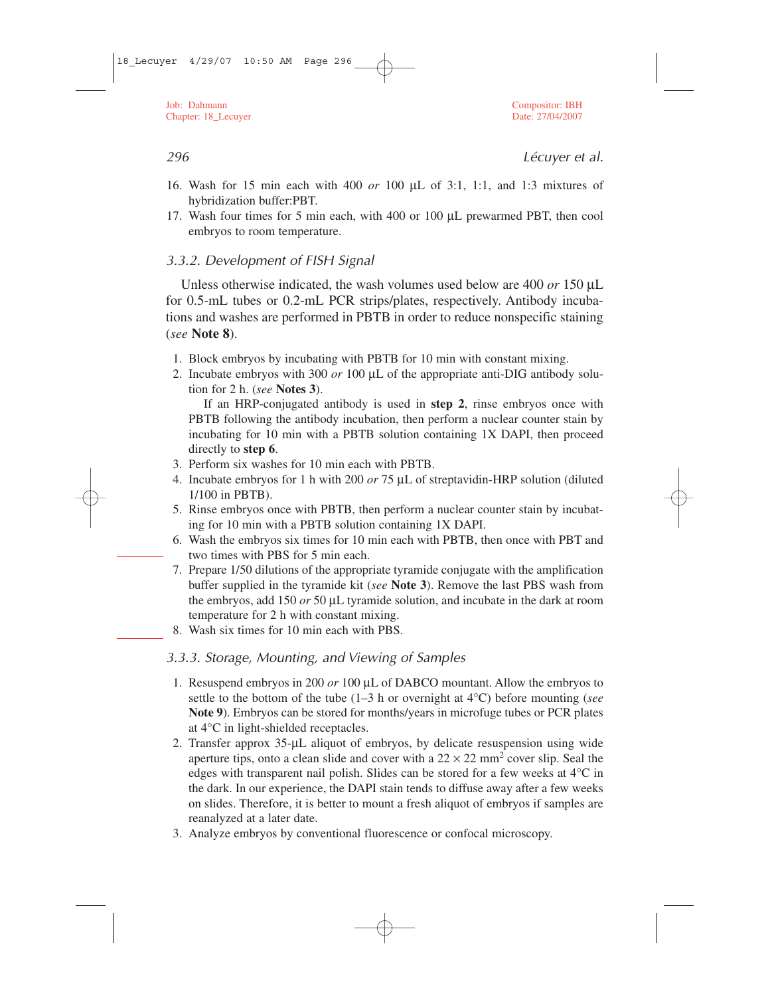*296 Lécuyer et al.*

- 16. Wash for 15 min each with 400 *or* 100 µL of 3:1, 1:1, and 1:3 mixtures of hybridization buffer:PBT.
- 17. Wash four times for 5 min each, with 400 or 100 µL prewarmed PBT, then cool embryos to room temperature.

#### *3.3.2. Development of FISH Signal*

Unless otherwise indicated, the wash volumes used below are 400 *or* 150 µL for 0.5-mL tubes or 0.2-mL PCR strips/plates, respectively. Antibody incubations and washes are performed in PBTB in order to reduce nonspecific staining (*see* **Note 8**).

- 1. Block embryos by incubating with PBTB for 10 min with constant mixing.
- 2. Incubate embryos with 300 *or* 100 µL of the appropriate anti-DIG antibody solution for 2 h. (*see* **Notes 3**).

If an HRP-conjugated antibody is used in **step 2**, rinse embryos once with PBTB following the antibody incubation, then perform a nuclear counter stain by incubating for 10 min with a PBTB solution containing 1X DAPI, then proceed directly to **step 6**.

- 3. Perform six washes for 10 min each with PBTB.
- 4. Incubate embryos for 1 h with 200 *or* 75 µL of streptavidin-HRP solution (diluted 1/100 in PBTB).
- 5. Rinse embryos once with PBTB, then perform a nuclear counter stain by incubating for 10 min with a PBTB solution containing 1X DAPI.
- 6. Wash the embryos six times for 10 min each with PBTB, then once with PBT and two times with PBS for 5 min each.
- 7. Prepare 1/50 dilutions of the appropriate tyramide conjugate with the amplification buffer supplied in the tyramide kit (*see* **Note 3**). Remove the last PBS wash from the embryos, add 150 *or* 50 µL tyramide solution, and incubate in the dark at room temperature for 2 h with constant mixing.
- 8. Wash six times for 10 min each with PBS.

#### *3.3.3. Storage, Mounting, and Viewing of Samples*

- 1. Resuspend embryos in 200 *or* 100 µL of DABCO mountant. Allow the embryos to settle to the bottom of the tube (1–3 h or overnight at 4°C) before mounting (*see* **Note 9**). Embryos can be stored for months/years in microfuge tubes or PCR plates at 4°C in light-shielded receptacles.
- 2. Transfer approx 35-µL aliquot of embryos, by delicate resuspension using wide aperture tips, onto a clean slide and cover with a  $22 \times 22$  mm<sup>2</sup> cover slip. Seal the edges with transparent nail polish. Slides can be stored for a few weeks at 4°C in the dark. In our experience, the DAPI stain tends to diffuse away after a few weeks on slides. Therefore, it is better to mount a fresh aliquot of embryos if samples are reanalyzed at a later date.
- 3. Analyze embryos by conventional fluorescence or confocal microscopy.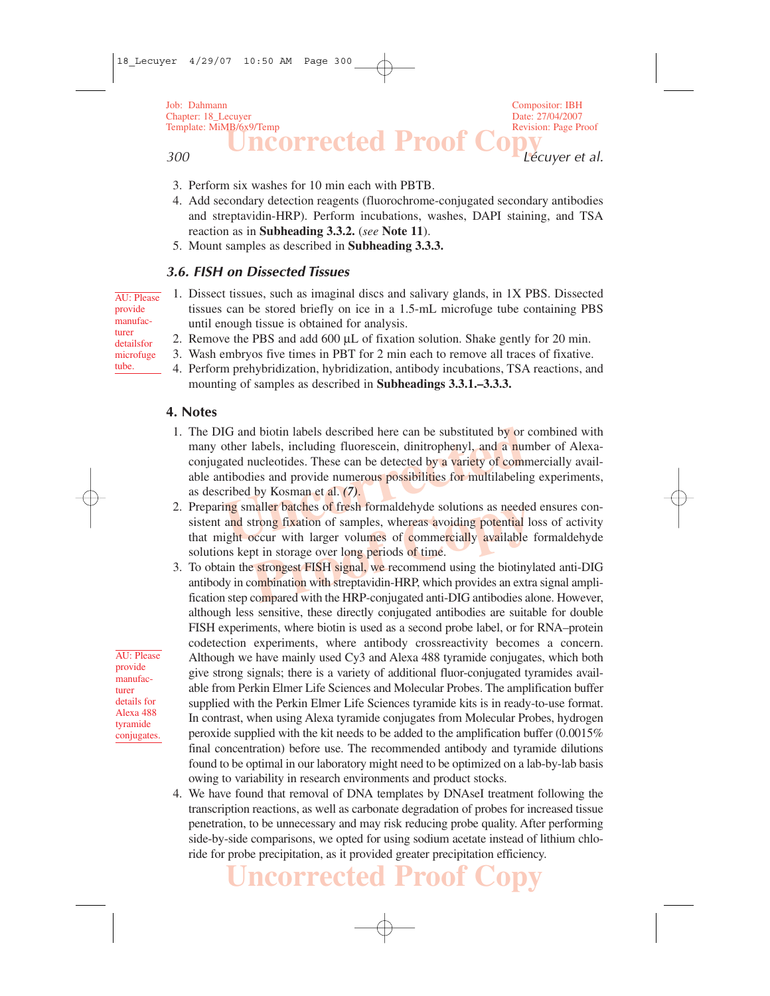```
Job: Dahmann Compositor: IBH
Chapter: 18_Lecuyer
Template: MiMB/6x9/Temp
```
**Proof Copy** 

*300 Lécuyer et al.*

- 3. Perform six washes for 10 min each with PBTB.
- 4. Add secondary detection reagents (fluorochrome-conjugated secondary antibodies and streptavidin-HRP). Perform incubations, washes, DAPI staining, and TSA reaction as in **Subheading 3.3.2.** (*see* **Note 11**).
- 5. Mount samples as described in **Subheading 3.3.3.**

#### *3.6. FISH on Dissected Tissues*

- 1. Dissect tissues, such as imaginal discs and salivary glands, in 1X PBS. Dissected tissues can be stored briefly on ice in a 1.5-mL microfuge tube containing PBS until enough tissue is obtained for analysis.
	- 2. Remove the PBS and add 600 µL of fixation solution. Shake gently for 20 min.
- 3. Wash embryos five times in PBT for 2 min each to remove all traces of fixative.
- 4. Perform prehybridization, hybridization, antibody incubations, TSA reactions, and mounting of samples as described in **Subheadings 3.3.1.–3.3.3.**

#### **4. Notes**

- IG and biotin labels described here can be substituted by or<br>other labels, including fluorescein, dinitrophenyl, and a num<br>ated nucleotides. These can be detected by a variety of com-<br>ntibodies and provide numerous possibi 1. The DIG and biotin labels described here can be substituted by or combined with many other labels, including fluorescein, dinitrophenyl, and a number of Alexaconjugated nucleotides. These can be detected by a variety of commercially available antibodies and provide numerous possibilities for multilabeling experiments, as described by Kosman et al. *(7)*.
- maller batches of fresh formaldehyde solutions as needed<br>trong fixation of samples, whereas avoiding potential loccur with larger volumes of commercially available 1<br>pt in storage over long periods of time.<br>Extrongest FISH 2. Preparing smaller batches of fresh formaldehyde solutions as needed ensures consistent and strong fixation of samples, whereas avoiding potential loss of activity that might occur with larger volumes of commercially available formaldehyde solutions kept in storage over long periods of time.
- 3. To obtain the strongest FISH signal, we recommend using the biotinylated anti-DIG antibody in combination with streptavidin-HRP, which provides an extra signal amplification step compared with the HRP-conjugated anti-DIG antibodies alone. However, although less sensitive, these directly conjugated antibodies are suitable for double FISH experiments, where biotin is used as a second probe label, or for RNA–protein codetection experiments, where antibody crossreactivity becomes a concern. Although we have mainly used Cy3 and Alexa 488 tyramide conjugates, which both give strong signals; there is a variety of additional fluor-conjugated tyramides available from Perkin Elmer Life Sciences and Molecular Probes. The amplification buffer supplied with the Perkin Elmer Life Sciences tyramide kits is in ready-to-use format. In contrast, when using Alexa tyramide conjugates from Molecular Probes, hydrogen peroxide supplied with the kit needs to be added to the amplification buffer (0.0015% final concentration) before use. The recommended antibody and tyramide dilutions found to be optimal in our laboratory might need to be optimized on a lab-by-lab basis owing to variability in research environments and product stocks.
- 4. We have found that removal of DNA templates by DNAseI treatment following the transcription reactions, as well as carbonate degradation of probes for increased tissue penetration, to be unnecessary and may risk reducing probe quality. After performing side-by-side comparisons, we opted for using sodium acetate instead of lithium chloride for probe precipitation, as it provided greater precipitation efficiency.

## **ncorrected Proof C**

AU: Please provide manufacturer detailsfor microfuge tube.

AU: Please provide manufacturer details for Alexa 488 tyramide conjugates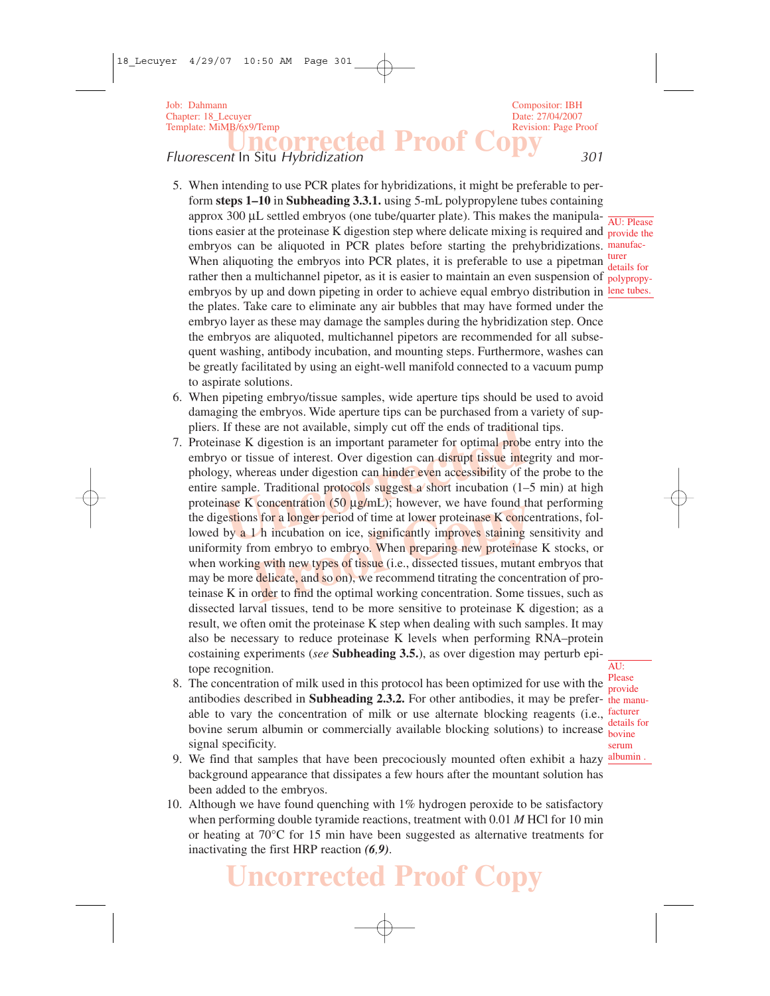Job: Dahmann Compositor: IBH<br>
1990 - Chapter: 18 Lecuyer Chapter: 18 Lecuyer Chapter: 18 Lecuyer Chapter: 27/04/2007 Chapter: 18\_Lecuyer Date: 27/04/2007<br>
Template: MiMB/6x9/Temp<br>
Revision: Page Proof Template: MiMB/6x9/Temp

**Fluorescent In Situ** *Hybridization* **Proof Copy** 301

- 5. When intending to use PCR plates for hybridizations, it might be preferable to perform **steps 1–10** in **Subheading 3.3.1.** using 5-mL polypropylene tubes containing approx 300 µL settled embryos (one tube/quarter plate). This makes the manipulations easier at the proteinase K digestion step where delicate mixing is required and provide the embryos can be aliquoted in PCR plates before starting the prehybridizations. manufac-When aliquoting the embryos into PCR plates, it is preferable to use a pipetman turer rather then a multichannel pipetor, as it is easier to maintain an even suspension of <sub>polypropy</sub>. embryos by up and down pipeting in order to achieve equal embryo distribution in lene tubes. the plates. Take care to eliminate any air bubbles that may have formed under the embryo layer as these may damage the samples during the hybridization step. Once the embryos are aliquoted, multichannel pipetors are recommended for all subsequent washing, antibody incubation, and mounting steps. Furthermore, washes can be greatly facilitated by using an eight-well manifold connected to a vacuum pump to aspirate solutions. AU: Please
- 6. When pipeting embryo/tissue samples, wide aperture tips should be used to avoid damaging the embryos. Wide aperture tips can be purchased from a variety of suppliers. If these are not available, simply cut off the ends of traditional tips.
- If these are not available, simply cut off the ends of tradition<br>aase K digestion is an important parameter for optimal probe<br>o or tissue of interest. Over digestion can disrupt tissue inte<br>y, whereas under digestion can h procentation (by *Egrificity*), however, we have found that performing the digestions for a longer period of time at lower proteinase K concentrations, followed by **a** 1 h incubation on ice, significantly improves staining 7. Proteinase K digestion is an important parameter for optimal probe entry into the embryo or tissue of interest. Over digestion can disrupt tissue integrity and morphology, whereas under digestion can hinder even accessibility of the probe to the entire sample. Traditional protocols suggest a short incubation  $(1–5 \text{ min})$  at high proteinase K concentration (50 µg/mL); however, we have found that performing lowed by a 1 h incubation on ice, significantly improves staining sensitivity and uniformity from embryo to embryo. When preparing new proteinase K stocks, or when working with new types of tissue (i.e., dissected tissues, mutant embryos that may be more delicate, and so on), we recommend titrating the concentration of proteinase K in order to find the optimal working concentration. Some tissues, such as dissected larval tissues, tend to be more sensitive to proteinase K digestion; as a result, we often omit the proteinase K step when dealing with such samples. It may also be necessary to reduce proteinase K levels when performing RNA–protein costaining experiments (*see* **Subheading 3.5.**), as over digestion may perturb epitope recognition.
- 8. The concentration of milk used in this protocol has been optimized for use with the antibodies described in **Subheading 2.3.2.** For other antibodies, it may be prefer- the manuable to vary the concentration of milk or use alternate blocking reagents (i.e., facturer bovine serum albumin or commercially available blocking solutions) to increase bovine signal specificity.
- Please provide details for serum

AU:

- 9. We find that samples that have been precociously mounted often exhibit a hazy albumin. background appearance that dissipates a few hours after the mountant solution has been added to the embryos.
- 10. Although we have found quenching with 1% hydrogen peroxide to be satisfactory when performing double tyramide reactions, treatment with 0.01 *M* HCl for 10 min or heating at 70°C for 15 min have been suggested as alternative treatments for inactivating the first HRP reaction *(6,9)*.

# **Uncorrected Proof Copy**

details for